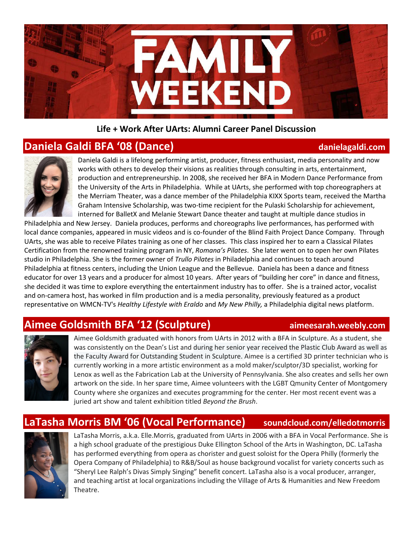

### **Life + Work After UArts: Alumni Career Panel Discussion**

### **Daniela Galdi BFA '08 (Dance) danielagaldi.com**



Daniela Galdi is a lifelong performing artist, producer, fitness enthusiast, media personality and now works with others to develop their visions as realities through consulting in arts, entertainment, production and entrepreneurship. In 2008, she received her BFA in Modern Dance Performance from the University of the Arts in Philadelphia. While at UArts, she performed with top choreographers at the Merriam Theater, was a dance member of the Philadelphia KIXX Sports team, received the Martha Graham Intensive Scholarship, was two-time recipient for the Pulaski Scholarship for achievement, interned for BalletX and Melanie Stewart Dance theater and taught at multiple dance studios in

Philadelphia and New Jersey. Daniela produces, performs and choreographs live performances, has performed with local dance companies, appeared in music videos and is co-founder of the Blind Faith Project Dance Company. Through UArts, she was able to receive Pilates training as one of her classes. This class inspired her to earn a Classical Pilates Certification from the renowned training program in NY, *Romana's Pilates*. She later went on to open her own Pilates studio in Philadelphia. She is the former owner of *Trullo Pilates* in Philadelphia and continues to teach around Philadelphia at fitness centers, including the Union League and the Bellevue. Daniela has been a dance and fitness educator for over 13 years and a producer for almost 10 years. After years of "building her core" in dance and fitness, she decided it was time to explore everything the entertainment industry has to offer. She is a trained actor, vocalist and on-camera host, has worked in film production and is a media personality, previously featured as a product representative on WMCN-TV's *Healthy Lifestyle with Eraldo* and *My New Philly,* a Philadelphia digital news platform.

## **Aimee Goldsmith BFA '12 (Sculpture) aimeesarah.weebly.com**



Aimee Goldsmith graduated with honors from UArts in 2012 with a BFA in Sculpture. As a student, she was consistently on the Dean's List and during her senior year received the Plastic Club Award as well as the Faculty Award for Outstanding Student in Sculpture. Aimee is a certified 3D printer technician who is currently working in a more artistic environment as a mold maker/sculptor/3D specialist, working for Lenox as well as the Fabrication Lab at the University of Pennsylvania. She also creates and sells her own artwork on the side. In her spare time, Aimee volunteers with the LGBT Qmunity Center of Montgomery County where she organizes and executes programming for the center. Her most recent event was a juried art show and talent exhibition titled *Beyond the Brush*.

### **LaTasha Morris BM '06 (Vocal Performance) soundcloud.com/elledotmorris**



LaTasha Morris, a.k.a. Elle.Morris, graduated from UArts in 2006 with a BFA in Vocal Performance. She is a high school graduate of the prestigious Duke Ellington School of the Arts in Washington, DC. LaTasha has performed everything from opera as chorister and guest soloist for the Opera Philly (formerly the Opera Company of Philadelphia) to R&B/Soul as house background vocalist for variety concerts such as "Sheryl Lee Ralph's Divas Simply Singing" benefit concert. LaTasha also is a vocal producer, arranger, and teaching artist at local organizations including the Village of Arts & Humanities and New Freedom Theatre.